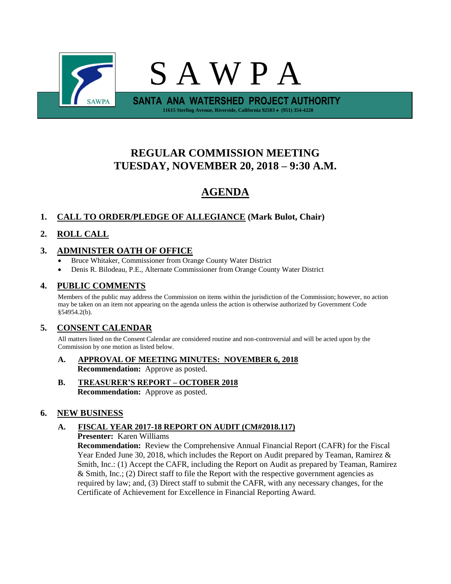

# **REGULAR COMMISSION MEETING TUESDAY, NOVEMBER 20, 2018 – 9:30 A.M.**

# **AGENDA**

# **1. CALL TO ORDER/PLEDGE OF ALLEGIANCE (Mark Bulot, Chair)**

# **2. ROLL CALL**

# **3. ADMINISTER OATH OF OFFICE**

- Bruce Whitaker, Commissioner from Orange County Water District
- Denis R. Bilodeau, P.E., Alternate Commissioner from Orange County Water District

# **4. PUBLIC COMMENTS**

Members of the public may address the Commission on items within the jurisdiction of the Commission; however, no action may be taken on an item not appearing on the agenda unless the action is otherwise authorized by Government Code §54954.2(b).

# **5. CONSENT CALENDAR**

All matters listed on the Consent Calendar are considered routine and non-controversial and will be acted upon by the Commission by one motion as listed below.

- **A. APPROVAL OF MEETING MINUTES: NOVEMBER 6, 2018 Recommendation:** Approve as posted.
- **B. TREASURER'S REPORT – OCTOBER 2018 Recommendation:** Approve as posted.

# **6. NEW BUSINESS**

# **A. FISCAL YEAR 2017-18 REPORT ON AUDIT (CM#2018.117)**

**Presenter:** Karen Williams

**Recommendation:** Review the Comprehensive Annual Financial Report (CAFR) for the Fiscal Year Ended June 30, 2018, which includes the Report on Audit prepared by Teaman, Ramirez & Smith, Inc.: (1) Accept the CAFR, including the Report on Audit as prepared by Teaman, Ramirez  $&$  Smith, Inc.; (2) Direct staff to file the Report with the respective government agencies as required by law; and, (3) Direct staff to submit the CAFR, with any necessary changes, for the Certificate of Achievement for Excellence in Financial Reporting Award.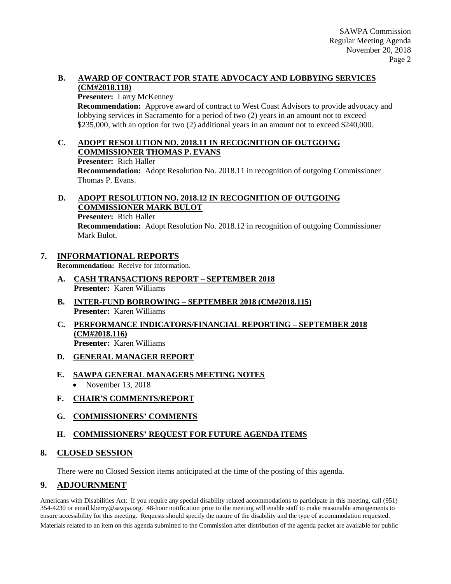#### **B. AWARD OF CONTRACT FOR STATE ADVOCACY AND LOBBYING SERVICES (CM#2018.118)**

#### **Presenter:** Larry McKenney

**Recommendation:** Approve award of contract to West Coast Advisors to provide advocacy and lobbying services in Sacramento for a period of two (2) years in an amount not to exceed \$235,000, with an option for two (2) additional years in an amount not to exceed \$240,000.

#### **C. ADOPT RESOLUTION NO. 2018.11 IN RECOGNITION OF OUTGOING COMMISSIONER THOMAS P. EVANS**

**Presenter:** Rich Haller

**Recommendation:** Adopt Resolution No. 2018.11 in recognition of outgoing Commissioner Thomas P. Evans.

### **D. ADOPT RESOLUTION NO. 2018.12 IN RECOGNITION OF OUTGOING COMMISSIONER MARK BULOT**

**Presenter:** Rich Haller

**Recommendation:** Adopt Resolution No. 2018.12 in recognition of outgoing Commissioner Mark Bulot.

# **7. INFORMATIONAL REPORTS**

**Recommendation:** Receive for information.

- **A. CASH TRANSACTIONS REPORT – SEPTEMBER 2018 Presenter:** Karen Williams
- **B. INTER-FUND BORROWING – SEPTEMBER 2018 (CM#2018.115) Presenter:** Karen Williams
- **C. PERFORMANCE INDICATORS/FINANCIAL REPORTING – SEPTEMBER 2018 (CM#2018.116) Presenter:** Karen Williams
- **D. GENERAL MANAGER REPORT**

# **E. SAWPA GENERAL MANAGERS MEETING NOTES**

- November 13, 2018
- **F. CHAIR'S COMMENTS/REPORT**
- **G. COMMISSIONERS' COMMENTS**

# **H. COMMISSIONERS' REQUEST FOR FUTURE AGENDA ITEMS**

# **8. CLOSED SESSION**

There were no Closed Session items anticipated at the time of the posting of this agenda.

# **9. ADJOURNMENT**

Americans with Disabilities Act: If you require any special disability related accommodations to participate in this meeting, call (951) 354-4230 or email kberry@sawpa.org. 48-hour notification prior to the meeting will enable staff to make reasonable arrangements to ensure accessibility for this meeting. Requests should specify the nature of the disability and the type of accommodation requested. Materials related to an item on this agenda submitted to the Commission after distribution of the agenda packet are available for public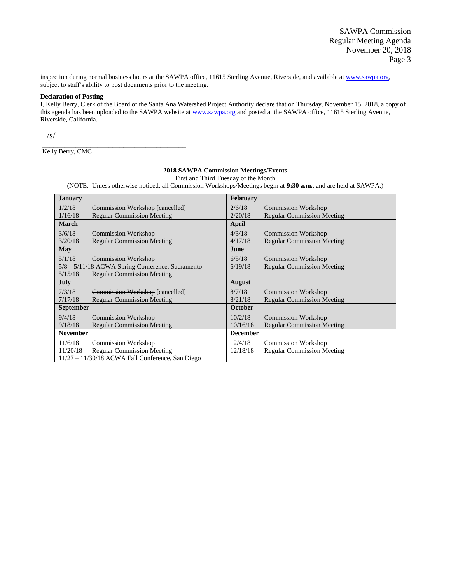inspection during normal business hours at the SAWPA office, 11615 Sterling Avenue, Riverside, and available a[t www.sawpa.org,](http://www.sawpa.org/) subject to staff's ability to post documents prior to the meeting.

#### **Declaration of Posting**

I, Kelly Berry, Clerk of the Board of the Santa Ana Watershed Project Authority declare that on Thursday, November 15, 2018, a copy of this agenda has been uploaded to the SAWPA website at [www.sawpa.org](http://www.sawpa.org/) and posted at the SAWPA office, 11615 Sterling Avenue, Riverside, California.

/s/

Kelly Berry, CMC

\_\_\_\_\_\_\_\_\_\_\_\_\_\_\_\_\_\_\_\_\_\_\_\_\_\_\_\_\_\_\_\_\_\_\_\_\_\_\_

#### **2018 SAWPA Commission Meetings/Events**

First and Third Tuesday of the Month

(NOTE: Unless otherwise noticed, all Commission Workshops/Meetings begin at **9:30 a.m.**, and are held at SAWPA.)

| <b>January</b>                                   |                                                    | <b>February</b> |                                   |  |  |  |
|--------------------------------------------------|----------------------------------------------------|-----------------|-----------------------------------|--|--|--|
| 1/2/18                                           | Commission Workshop [cancelled]                    | 2/6/18          | <b>Commission Workshop</b>        |  |  |  |
| 1/16/18                                          | <b>Regular Commission Meeting</b>                  | 2/20/18         | <b>Regular Commission Meeting</b> |  |  |  |
| <b>March</b>                                     |                                                    | April           |                                   |  |  |  |
| 3/6/18                                           | <b>Commission Workshop</b>                         | 4/3/18          | <b>Commission Workshop</b>        |  |  |  |
| 3/20/18                                          | <b>Regular Commission Meeting</b>                  | 4/17/18         | <b>Regular Commission Meeting</b> |  |  |  |
| May                                              |                                                    | June            |                                   |  |  |  |
| 5/1/18                                           | <b>Commission Workshop</b>                         | 6/5/18          | <b>Commission Workshop</b>        |  |  |  |
| 5/8 – 5/11/18 ACWA Spring Conference, Sacramento |                                                    | 6/19/18         | <b>Regular Commission Meeting</b> |  |  |  |
| 5/15/18                                          | <b>Regular Commission Meeting</b>                  |                 |                                   |  |  |  |
| July                                             |                                                    | August          |                                   |  |  |  |
| 7/3/18                                           | Commission Workshop [cancelled]                    | 8/7/18          | <b>Commission Workshop</b>        |  |  |  |
| 7/17/18                                          | <b>Regular Commission Meeting</b>                  | 8/21/18         | <b>Regular Commission Meeting</b> |  |  |  |
| <b>September</b>                                 |                                                    | <b>October</b>  |                                   |  |  |  |
| 9/4/18                                           | <b>Commission Workshop</b>                         | 10/2/18         | <b>Commission Workshop</b>        |  |  |  |
| 9/18/18                                          | <b>Regular Commission Meeting</b>                  | 10/16/18        | <b>Regular Commission Meeting</b> |  |  |  |
| <b>November</b>                                  |                                                    | <b>December</b> |                                   |  |  |  |
| 11/6/18                                          | <b>Commission Workshop</b>                         | 12/4/18         | <b>Commission Workshop</b>        |  |  |  |
| 11/20/18                                         | <b>Regular Commission Meeting</b>                  | 12/18/18        | <b>Regular Commission Meeting</b> |  |  |  |
|                                                  | $11/27 - 11/30/18$ ACWA Fall Conference, San Diego |                 |                                   |  |  |  |